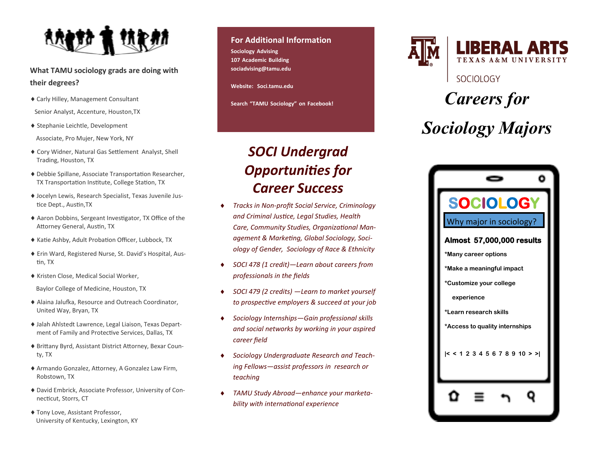

**What TAMU sociology grads are doing with their degrees?**

- Carly Hilley, Management Consultant Senior Analyst, Accenture, Houston,TX
- Stephanie Leichtle, Development Associate, Pro Mujer, New York, NY
- Cory Widner, Natural Gas Settlement Analyst, Shell Trading, Houston, TX
- Debbie Spillane, Associate Transportation Researcher, TX Transportation Institute, College Station, TX
- Jocelyn Lewis, Research Specialist, Texas Juvenile Justice Dept., Austin,TX
- Aaron Dobbins, Sergeant Investigator, TX Office of the Attorney General, Austin, TX
- ◆ Katie Ashby, Adult Probation Officer, Lubbock, TX
- Erin Ward, Registered Nurse, St. David's Hospital, Austin, TX
- Kristen Close, Medical Social Worker,

Baylor College of Medicine, Houston, TX

- Alaina Jalufka, Resource and Outreach Coordinator, United Way, Bryan, TX
- Jalah Ahlstedt Lawrence, Legal Liaison, Texas Department of Family and Protective Services, Dallas, TX
- Brittany Byrd, Assistant District Attorney, Bexar County, TX
- Armando Gonzalez, Attorney, A Gonzalez Law Firm, Robstown, TX
- David Embrick, Associate Professor, University of Connecticut, Storrs, CT
- Tony Love, Assistant Professor, University of Kentucky, Lexington, KY

#### **For Additional Information**

**Sociology Advising 107 Academic Building sociadvising@tamu.edu**

**Website: Soci.tamu.edu**

**Search "TAMU Sociology" on Facebook!**

#### *SOCI Undergrad Opportunities for Career Success*

- *Tracks in Non-profit Social Service, Criminology and Criminal Justice, Legal Studies, Health Care, Community Studies, Organizational Management & Marketing, Global Sociology, Sociology of Gender, Sociology of Race & Ethnicity*
- *SOCI 478 (1 credit)—Learn about careers from professionals in the fields*
- *SOCI 479 (2 credits) —Learn to market yourself to prospective employers & succeed at your job*
- *Sociology Internships—Gain professional skills and social networks by working in your aspired career field*
- *Sociology Undergraduate Research and Teaching Fellows—assist professors in research or teaching*
- *TAMU Study Abroad—enhance your marketability with international experience*